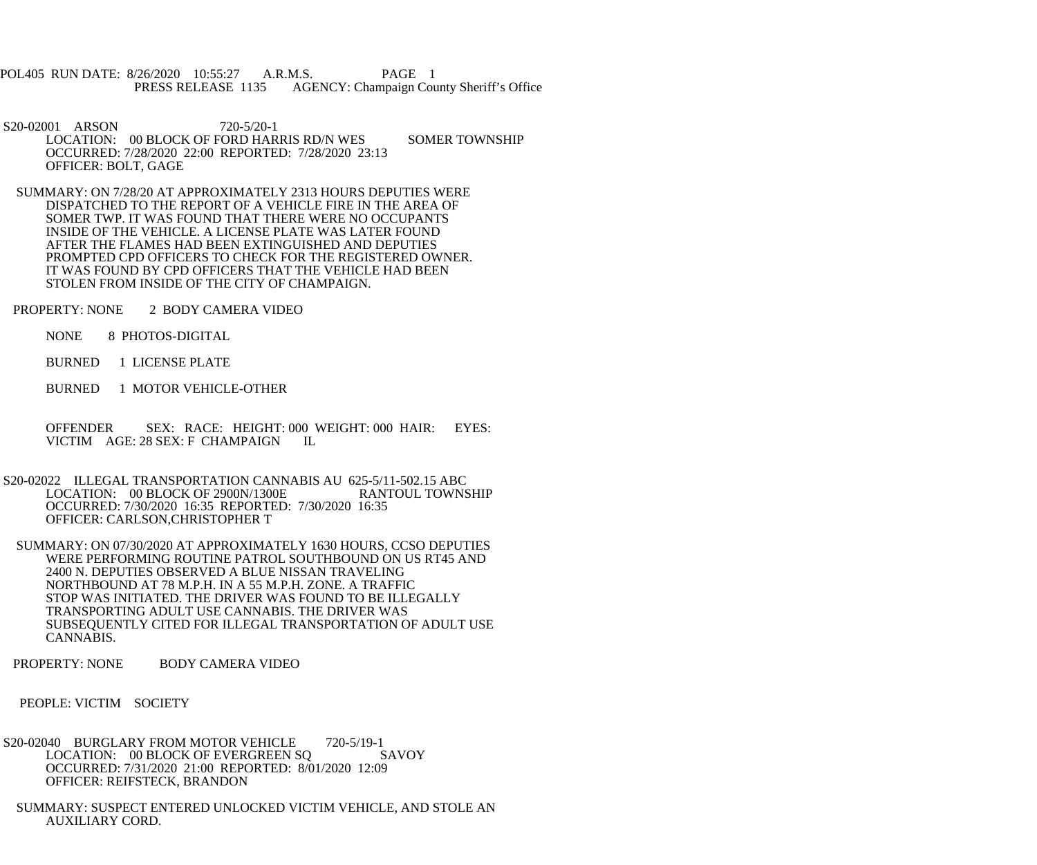POL405 RUN DATE: 8/26/2020 10:55:27 A.R.M.S. PAGE 1 PRESS RELEASE 1135 AGENCY: Champaign County Sheriff's Office

S20-02001 ARSON 720-5/20-1 LOCATION: 00 BLOCK OF FORD HARRIS RD/N WES SOMER TOWNSHIP OCCURRED: 7/28/2020 22:00 REPORTED: 7/28/2020 23:13 OFFICER: BOLT, GAGE

- SUMMARY: ON 7/28/20 AT APPROXIMATELY 2313 HOURS DEPUTIES WERE DISPATCHED TO THE REPORT OF A VEHICLE FIRE IN THE AREA OF SOMER TWP. IT WAS FOUND THAT THERE WERE NO OCCUPANTS INSIDE OF THE VEHICLE. A LICENSE PLATE WAS LATER FOUND AFTER THE FLAMES HAD BEEN EXTINGUISHED AND DEPUTIES PROMPTED CPD OFFICERS TO CHECK FOR THE REGISTERED OWNER. IT WAS FOUND BY CPD OFFICERS THAT THE VEHICLE HAD BEEN STOLEN FROM INSIDE OF THE CITY OF CHAMPAIGN.
- PROPERTY: NONE 2 BODY CAMERA VIDEO
	- NONE 8 PHOTOS-DIGITAL
	- BURNED 1 LICENSE PLATE
	- BURNED 1 MOTOR VEHICLE-OTHER

 OFFENDER SEX: RACE: HEIGHT: 000 WEIGHT: 000 HAIR: EYES: VICTIM AGE: 28 SEX: F CHAMPAIGN IL

- S20-02022 ILLEGAL TRANSPORTATION CANNABIS AU 625-5/11-502.15 ABC<br>LOCATION: 00 BLOCK OF 2900N/1300E RANTOUL TOWNSHIP LOCATION: 00 BLOCK OF 2900N/1300E OCCURRED: 7/30/2020 16:35 REPORTED: 7/30/2020 16:35 OFFICER: CARLSON,CHRISTOPHER T
- SUMMARY: ON 07/30/2020 AT APPROXIMATELY 1630 HOURS, CCSO DEPUTIES WERE PERFORMING ROUTINE PATROL SOUTHBOUND ON US RT45 AND 2400 N. DEPUTIES OBSERVED A BLUE NISSAN TRAVELING NORTHBOUND AT 78 M.P.H. IN A 55 M.P.H. ZONE. A TRAFFIC STOP WAS INITIATED. THE DRIVER WAS FOUND TO BE ILLEGALLY TRANSPORTING ADULT USE CANNABIS. THE DRIVER WAS SUBSEQUENTLY CITED FOR ILLEGAL TRANSPORTATION OF ADULT USE CANNABIS.
- PROPERTY: NONE BODY CAMERA VIDEO
- PEOPLE: VICTIM SOCIETY
- S20-02040 BURGLARY FROM MOTOR VEHICLE 720-5/19-1<br>LOCATION: 00 BLOCK OF EVERGREEN SO SAVOY LOCATION: 00 BLOCK OF EVERGREEN SQ OCCURRED: 7/31/2020 21:00 REPORTED: 8/01/2020 12:09 OFFICER: REIFSTECK, BRANDON
- SUMMARY: SUSPECT ENTERED UNLOCKED VICTIM VEHICLE, AND STOLE AN AUXILIARY CORD.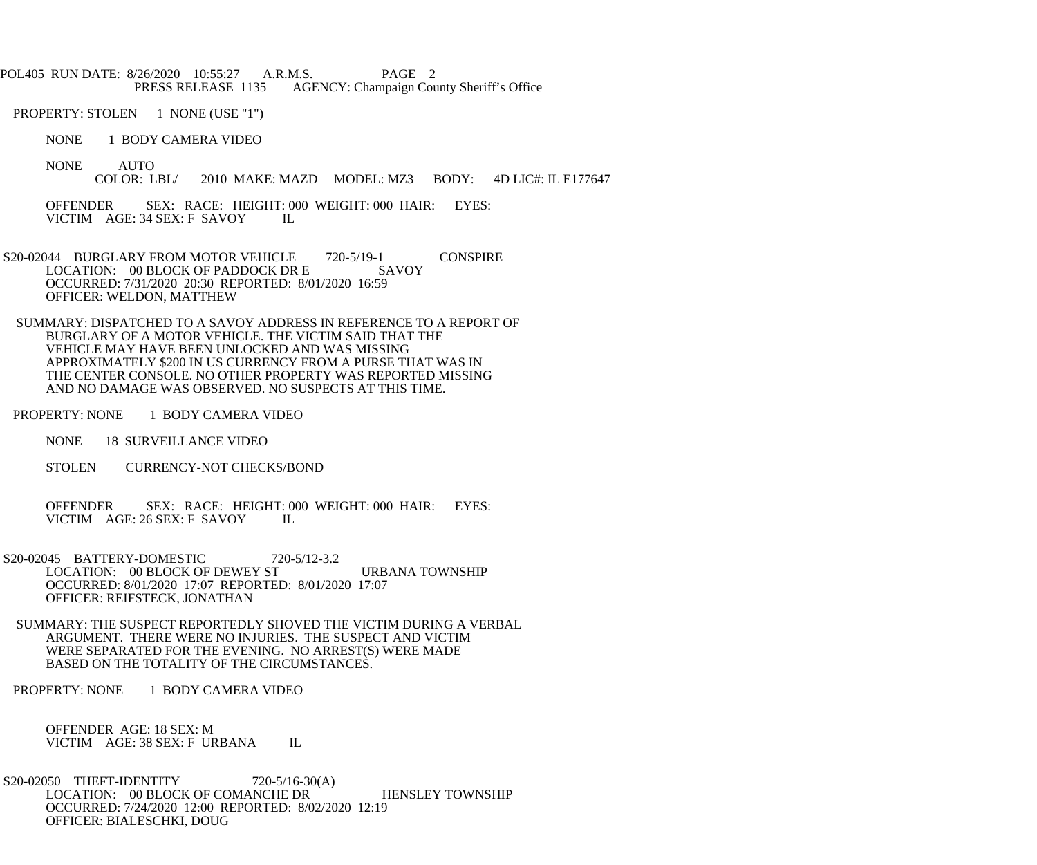POL405 RUN DATE: 8/26/2020 10:55:27 A.R.M.S. PAGE 2 PRESS RELEASE 1135 AGENCY: Champaign County Sheriff's Office

PROPERTY: STOLEN 1 NONE (USE "1")

NONE 1 BODY CAMERA VIDEO

NONE AUTO<br>COLOR: LBL/ 2010 MAKE: MAZD MODEL: MZ3 BODY: 4D LIC#: IL E177647

OFFENDER SEX: RACE: HEIGHT: 000 WEIGHT: 000 HAIR: EYES:<br>VICTIM AGE: 34 SEX: F SAVOY IL VICTIM AGE: 34 SEX: F SAVOY

S20-02044 BURGLARY FROM MOTOR VEHICLE 720-5/19-1 CONSPIRE<br>LOCATION: 00 BLOCK OF PADDOCK DR E SAVOY LOCATION: 00 BLOCK OF PADDOCK DR E OCCURRED: 7/31/2020 20:30 REPORTED: 8/01/2020 16:59 OFFICER: WELDON, MATTHEW

 SUMMARY: DISPATCHED TO A SAVOY ADDRESS IN REFERENCE TO A REPORT OF BURGLARY OF A MOTOR VEHICLE. THE VICTIM SAID THAT THE VEHICLE MAY HAVE BEEN UNLOCKED AND WAS MISSING APPROXIMATELY \$200 IN US CURRENCY FROM A PURSE THAT WAS IN THE CENTER CONSOLE. NO OTHER PROPERTY WAS REPORTED MISSING AND NO DAMAGE WAS OBSERVED. NO SUSPECTS AT THIS TIME.

PROPERTY: NONE 1 BODY CAMERA VIDEO

NONE 18 SURVEILLANCE VIDEO

STOLEN CURRENCY-NOT CHECKS/BOND

 OFFENDER SEX: RACE: HEIGHT: 000 WEIGHT: 000 HAIR: EYES: VICTIM AGE: 26 SEX: F SAVOY IL

 S20-02045 BATTERY-DOMESTIC 720-5/12-3.2 LOCATION: 00 BLOCK OF DEWEY ST URBANA TOWNSHIP OCCURRED: 8/01/2020 17:07 REPORTED: 8/01/2020 17:07 OFFICER: REIFSTECK, JONATHAN

 SUMMARY: THE SUSPECT REPORTEDLY SHOVED THE VICTIM DURING A VERBAL ARGUMENT. THERE WERE NO INJURIES. THE SUSPECT AND VICTIM WERE SEPARATED FOR THE EVENING. NO ARREST(S) WERE MADE BASED ON THE TOTALITY OF THE CIRCUMSTANCES.

PROPERTY: NONE 1 BODY CAMERA VIDEO

 OFFENDER AGE: 18 SEX: M VICTIM AGE: 38 SEX: F URBANA IL

S20-02050 THEFT-IDENTITY 720-5/16-30(A) LOCATION: 00 BLOCK OF COMANCHE DR HENSLEY TOWNSHIP OCCURRED: 7/24/2020 12:00 REPORTED: 8/02/2020 12:19 OFFICER: BIALESCHKI, DOUG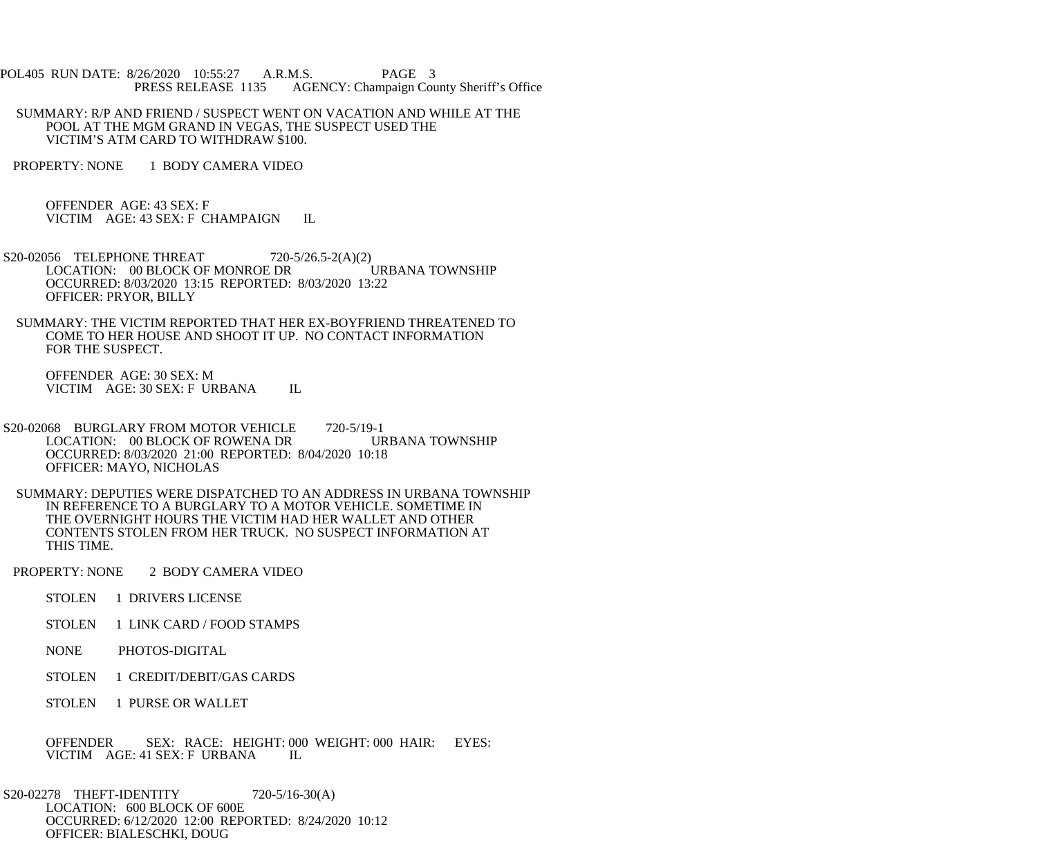POL405 RUN DATE: 8/26/2020 10:55:27 A.R.M.S. PAGE 3<br>PRESS RELEASE 1135 AGENCY: Champaign Cou AGENCY: Champaign County Sheriff's Office

 SUMMARY: R/P AND FRIEND / SUSPECT WENT ON VACATION AND WHILE AT THE POOL AT THE MGM GRAND IN VEGAS, THE SUSPECT USED THE VICTIM'S ATM CARD TO WITHDRAW \$100.

PROPERTY: NONE 1 BODY CAMERA VIDEO

 OFFENDER AGE: 43 SEX: F VICTIM AGE: 43 SEX: F CHAMPAIGN IL

- S20-02056 TELEPHONE THREAT 720-5/26.5-2(A)(2)<br>LOCATION: 00 BLOCK OF MONROE DR URBANA TOWNSHIP LOCATION: 00 BLOCK OF MONROE DR OCCURRED: 8/03/2020 13:15 REPORTED: 8/03/2020 13:22 OFFICER: PRYOR, BILLY
- SUMMARY: THE VICTIM REPORTED THAT HER EX-BOYFRIEND THREATENED TO COME TO HER HOUSE AND SHOOT IT UP. NO CONTACT INFORMATION FOR THE SUSPECT.

 OFFENDER AGE: 30 SEX: M VICTIM AGE: 30 SEX: F URBANA IL

- S20-02068 BURGLARY FROM MOTOR VEHICLE 720-5/19-1 LOCATION: 00 BLOCK OF ROWENA DR URBANA TOWNSHIP OCCURRED: 8/03/2020 21:00 REPORTED: 8/04/2020 10:18 OFFICER: MAYO, NICHOLAS
- SUMMARY: DEPUTIES WERE DISPATCHED TO AN ADDRESS IN URBANA TOWNSHIP IN REFERENCE TO A BURGLARY TO A MOTOR VEHICLE. SOMETIME IN THE OVERNIGHT HOURS THE VICTIM HAD HER WALLET AND OTHER CONTENTS STOLEN FROM HER TRUCK. NO SUSPECT INFORMATION AT THIS TIME.
- PROPERTY: NONE 2 BODY CAMERA VIDEO
	- STOLEN 1 DRIVERS LICENSE
	- STOLEN 1 LINK CARD / FOOD STAMPS
	- NONE PHOTOS-DIGITAL
	- STOLEN 1 CREDIT/DEBIT/GAS CARDS
	- STOLEN 1 PURSE OR WALLET
	- OFFENDER SEX: RACE: HEIGHT: 000 WEIGHT: 000 HAIR: EYES:<br>VICTIM AGE: 41 SEX: F URBANA IL VICTIM AGE: 41 SEX: F URBANA
- S20-02278 THEFT-IDENTITY 720-5/16-30(A) LOCATION: 600 BLOCK OF 600E OCCURRED: 6/12/2020 12:00 REPORTED: 8/24/2020 10:12 OFFICER: BIALESCHKI, DOUG